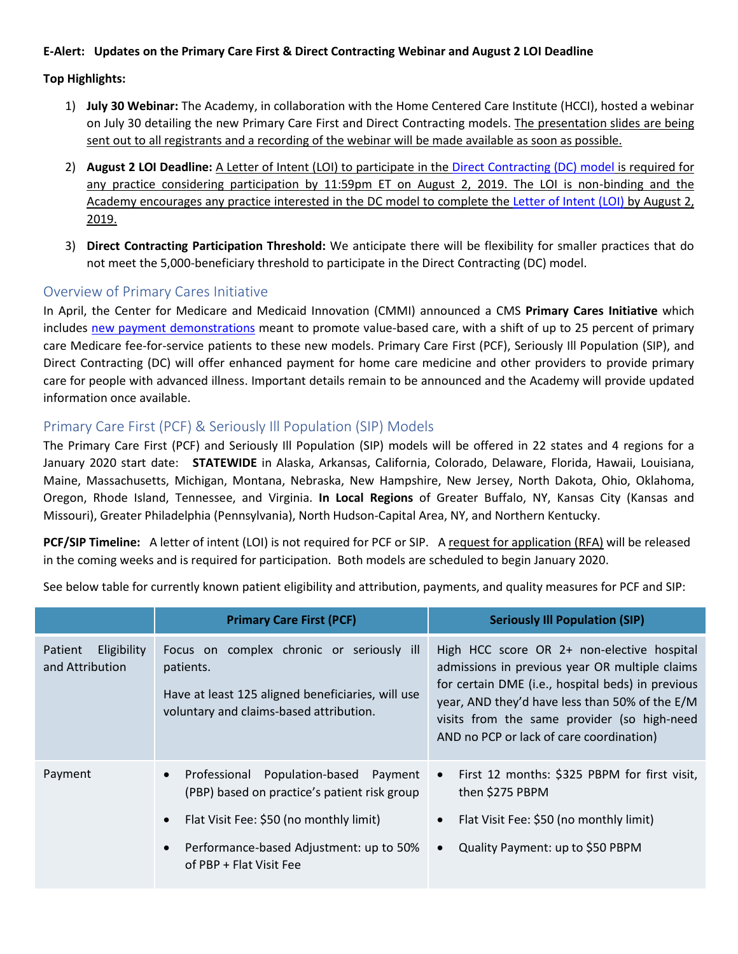#### **E-Alert: Updates on the Primary Care First & Direct Contracting Webinar and August 2 LOI Deadline**

#### **Top Highlights:**

- 1) **July 30 Webinar:** The Academy, in collaboration with the Home Centered Care Institute (HCCI), hosted a webinar on July 30 detailing the new Primary Care First and Direct Contracting models. The presentation slides are being sent out to all registrants and a recording of the webinar will be made available as soon as possible.
- 2) **August 2 LOI Deadline:** A Letter of Intent (LOI) to participate in the [Direct Contracting \(DC\) model](https://innovation.cms.gov/initiatives/direct-contracting-model-options/) is required for any practice considering participation by 11:59pm ET on August 2, 2019. The LOI is non-binding and the Academy encourages any practice interested in the DC model to complete th[e Letter of Intent \(LOI\)](https://app1.innovation.cms.gov/dc) by August 2, 2019.
- 3) **Direct Contracting Participation Threshold:** We anticipate there will be flexibility for smaller practices that do not meet the 5,000-beneficiary threshold to participate in the Direct Contracting (DC) model.

### Overview of Primary Cares Initiative

In April, the Center for Medicare and Medicaid Innovation (CMMI) announced a CMS **Primary Cares Initiative** which includes new [payment demonstrations](https://www.cms.gov/newsroom/press-releases/hhs-news-hhs-deliver-value-based-transformation-primary-care) meant to promote value-based care, with a shift of up to 25 percent of primary care Medicare fee-for-service patients to these new models. Primary Care First (PCF), Seriously Ill Population (SIP), and Direct Contracting (DC) will offer enhanced payment for home care medicine and other providers to provide primary care for people with advanced illness. Important details remain to be announced and the Academy will provide updated information once available.

# Primary Care First (PCF) & Seriously Ill Population (SIP) Models

The Primary Care First (PCF) and Seriously Ill Population (SIP) models will be offered in 22 states and 4 regions for a January 2020 start date: **STATEWIDE** in Alaska, Arkansas, California, Colorado, Delaware, Florida, Hawaii, Louisiana, Maine, Massachusetts, Michigan, Montana, Nebraska, New Hampshire, New Jersey, North Dakota, Ohio, Oklahoma, Oregon, Rhode Island, Tennessee, and Virginia. **In Local Regions** of Greater Buffalo, NY, Kansas City (Kansas and Missouri), Greater Philadelphia (Pennsylvania), North Hudson-Capital Area, NY, and Northern Kentucky.

**PCF/SIP Timeline:** A letter of intent (LOI) is not required for PCF or SIP. A request for application (RFA) will be released in the coming weeks and is required for participation. Both models are scheduled to begin January 2020.

See below table for currently known patient eligibility and attribution, payments, and quality measures for PCF and SIP:

|                                           | <b>Primary Care First (PCF)</b>                                                                                                                                                                                                                  | <b>Seriously Ill Population (SIP)</b>                                                                                                                                                                                                                                                          |
|-------------------------------------------|--------------------------------------------------------------------------------------------------------------------------------------------------------------------------------------------------------------------------------------------------|------------------------------------------------------------------------------------------------------------------------------------------------------------------------------------------------------------------------------------------------------------------------------------------------|
| Eligibility<br>Patient<br>and Attribution | Focus on complex chronic or seriously ill<br>patients.<br>Have at least 125 aligned beneficiaries, will use<br>voluntary and claims-based attribution.                                                                                           | High HCC score OR 2+ non-elective hospital<br>admissions in previous year OR multiple claims<br>for certain DME (i.e., hospital beds) in previous<br>year, AND they'd have less than 50% of the E/M<br>visits from the same provider (so high-need<br>AND no PCP or lack of care coordination) |
| Payment                                   | Professional<br>Population-based Payment<br>$\bullet$<br>(PBP) based on practice's patient risk group<br>Flat Visit Fee: \$50 (no monthly limit)<br>$\bullet$<br>Performance-based Adjustment: up to 50%<br>$\bullet$<br>of PBP + Flat Visit Fee | First 12 months: \$325 PBPM for first visit,<br>$\bullet$<br>then \$275 PBPM<br>Flat Visit Fee: \$50 (no monthly limit)<br>Quality Payment: up to \$50 PBPM<br>$\bullet$                                                                                                                       |